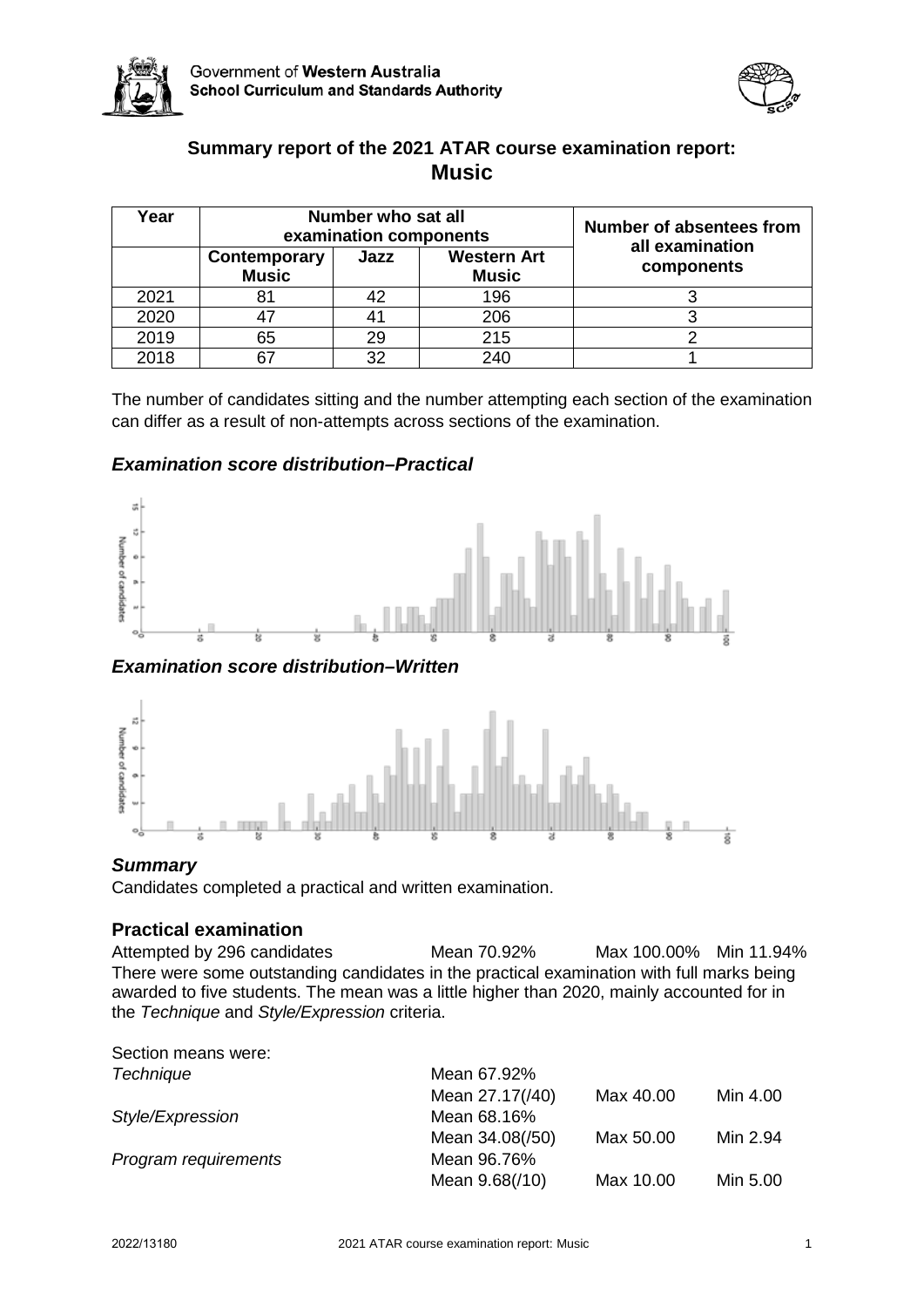



# **Summary report of the 2021 ATAR course examination report: Music**

| Year |                              | Number who sat all<br>examination components | Number of absentees from           |                               |  |
|------|------------------------------|----------------------------------------------|------------------------------------|-------------------------------|--|
|      | Contemporary<br><b>Music</b> | Jazz                                         | <b>Western Art</b><br><b>Music</b> | all examination<br>components |  |
| 2021 | 81                           | 42                                           | 196                                |                               |  |
| 2020 | 47                           | 41                                           | 206                                |                               |  |
| 2019 | 65                           | 29                                           | 215                                |                               |  |
| 2018 | 67                           | 32                                           | 240                                |                               |  |

The number of candidates sitting and the number attempting each section of the examination can differ as a result of non-attempts across sections of the examination.

# *Examination score distribution–Practical*



*Examination score distribution–Written*



## *Summary*

Candidates completed a practical and written examination.

# **Practical examination**

Attempted by 296 candidates Mean 70.92% Max 100.00% Min 11.94% There were some outstanding candidates in the practical examination with full marks being awarded to five students. The mean was a little higher than 2020, mainly accounted for in the *Technique* and *Style/Expression* criteria.

Section means were:

| <b>Technique</b>     | Mean 67.92%     |           |          |
|----------------------|-----------------|-----------|----------|
|                      | Mean 27.17(/40) | Max 40.00 | Min 4.00 |
| Style/Expression     | Mean 68.16%     |           |          |
|                      | Mean 34.08(/50) | Max 50.00 | Min 2.94 |
| Program requirements | Mean 96.76%     |           |          |
|                      | Mean 9.68(/10)  | Max 10.00 | Min 5.00 |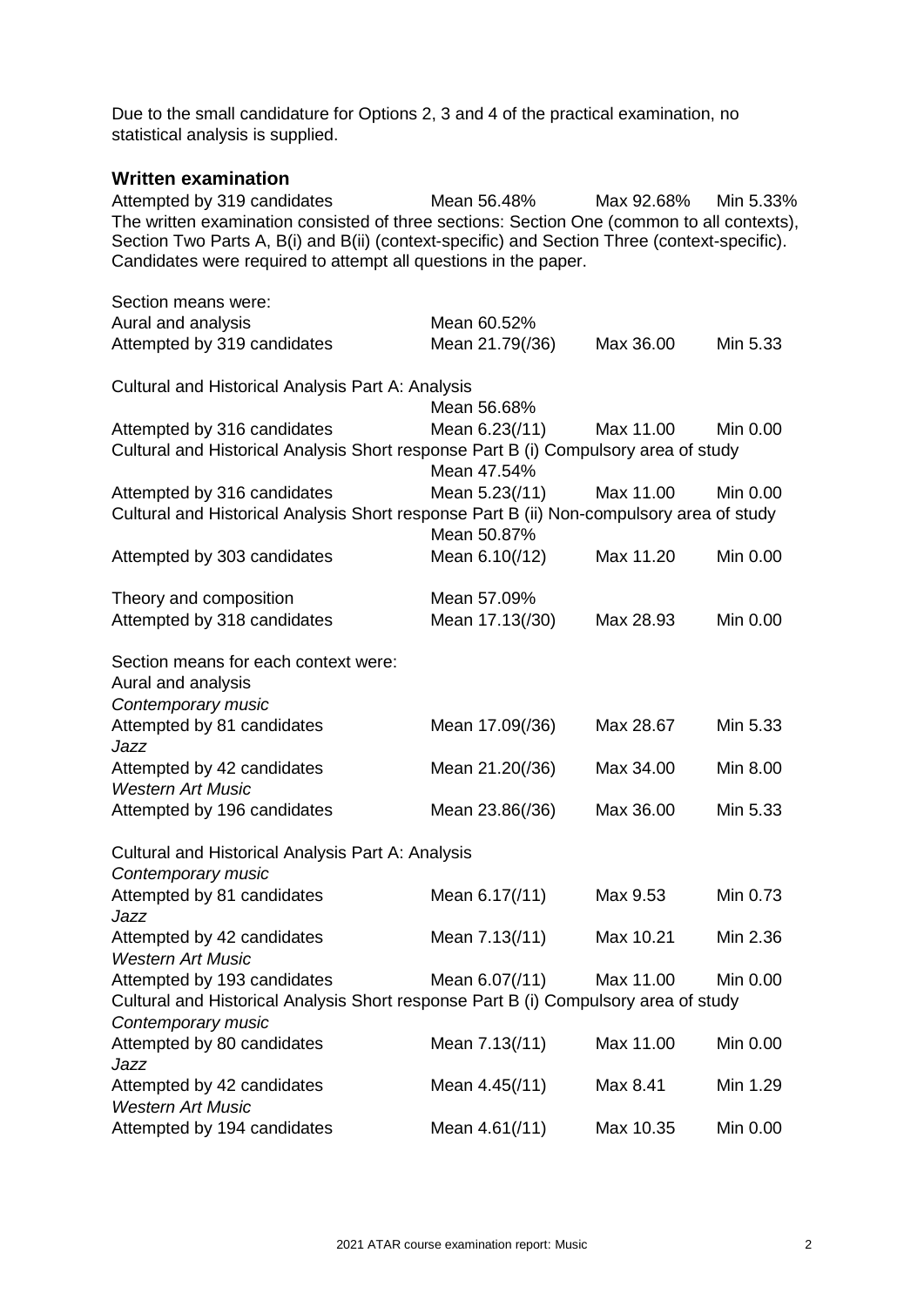Due to the small candidature for Options 2, 3 and 4 of the practical examination, no statistical analysis is supplied.

# **Written examination**

Attempted by 319 candidates Mean 56.48% Max 92.68% Min 5.33% The written examination consisted of three sections: Section One (common to all contexts), Section Two Parts A, B(i) and B(ii) (context-specific) and Section Three (context-specific). Candidates were required to attempt all questions in the paper.

| Section means were:                                                                      |                 |           |          |
|------------------------------------------------------------------------------------------|-----------------|-----------|----------|
| Aural and analysis                                                                       | Mean 60.52%     |           |          |
| Attempted by 319 candidates                                                              | Mean 21.79(/36) | Max 36.00 | Min 5.33 |
| <b>Cultural and Historical Analysis Part A: Analysis</b>                                 |                 |           |          |
|                                                                                          | Mean 56.68%     |           |          |
| Attempted by 316 candidates                                                              | Mean 6.23(/11)  | Max 11.00 | Min 0.00 |
| Cultural and Historical Analysis Short response Part B (i) Compulsory area of study      | Mean 47.54%     |           |          |
| Attempted by 316 candidates                                                              | Mean 5.23(/11)  | Max 11.00 | Min 0.00 |
| Cultural and Historical Analysis Short response Part B (ii) Non-compulsory area of study | Mean 50.87%     |           |          |
| Attempted by 303 candidates                                                              | Mean 6.10(/12)  | Max 11.20 | Min 0.00 |
| Theory and composition                                                                   | Mean 57.09%     |           |          |
| Attempted by 318 candidates                                                              | Mean 17.13(/30) | Max 28.93 | Min 0.00 |
| Section means for each context were:<br>Aural and analysis                               |                 |           |          |
| Contemporary music<br>Attempted by 81 candidates<br>Jazz                                 | Mean 17.09(/36) | Max 28.67 | Min 5.33 |
| Attempted by 42 candidates<br><b>Western Art Music</b>                                   | Mean 21.20(/36) | Max 34.00 | Min 8.00 |
| Attempted by 196 candidates                                                              | Mean 23.86(/36) | Max 36.00 | Min 5.33 |
| Cultural and Historical Analysis Part A: Analysis<br>Contemporary music                  |                 |           |          |
| Attempted by 81 candidates<br>Jazz                                                       | Mean 6.17(/11)  | Max 9.53  | Min 0.73 |
| Attempted by 42 candidates<br><b>Western Art Music</b>                                   | Mean 7.13(/11)  | Max 10.21 | Min 2.36 |
| Attempted by 193 candidates                                                              | Mean 6.07(/11)  | Max 11.00 | Min 0.00 |
| Cultural and Historical Analysis Short response Part B (i) Compulsory area of study      |                 |           |          |
| Contemporary music<br>Attempted by 80 candidates                                         | Mean 7.13(/11)  | Max 11.00 | Min 0.00 |
| Jazz<br>Attempted by 42 candidates                                                       | Mean 4.45(/11)  | Max 8.41  | Min 1.29 |
| <b>Western Art Music</b><br>Attempted by 194 candidates                                  | Mean 4.61(/11)  | Max 10.35 | Min 0.00 |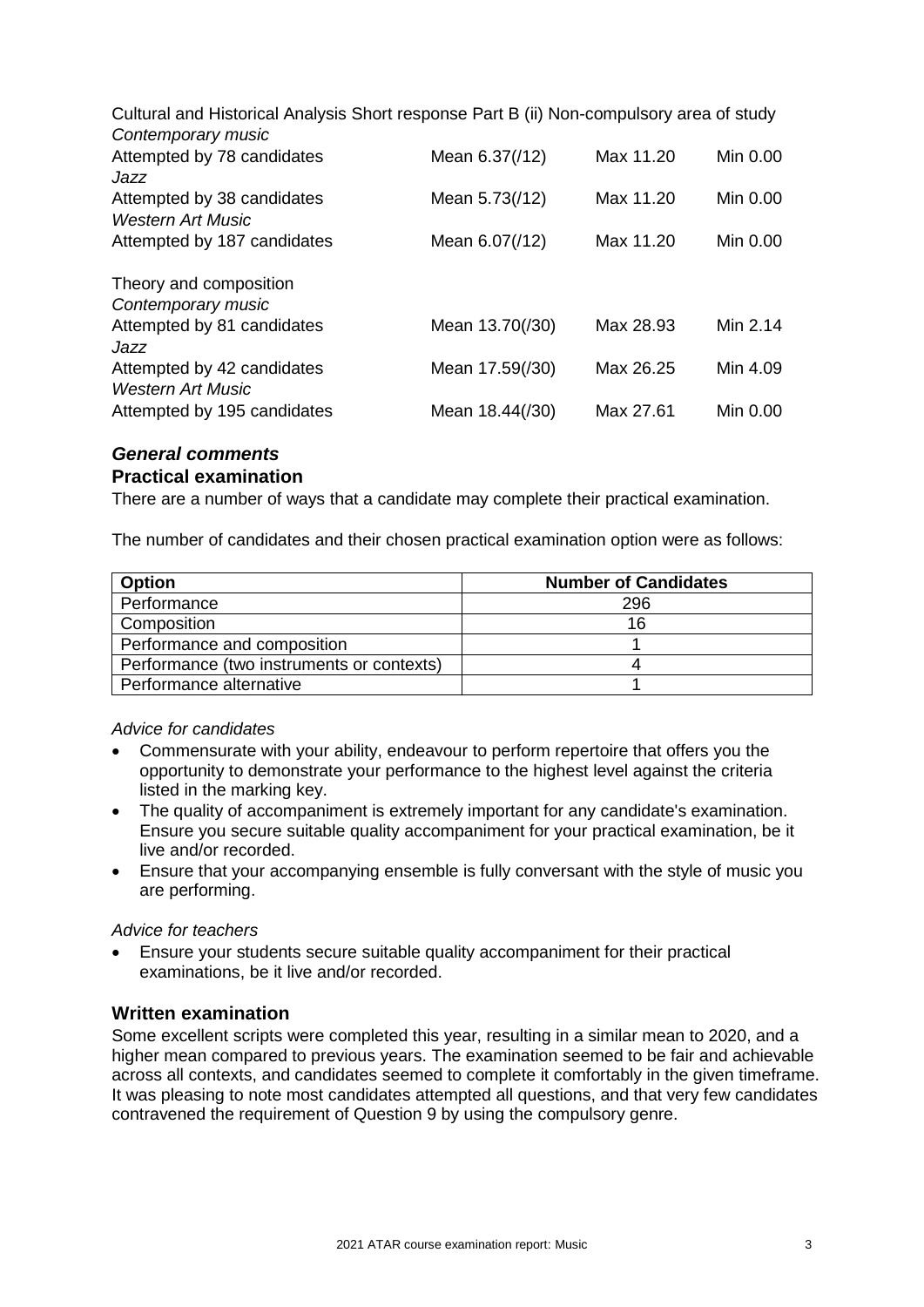Cultural and Historical Analysis Short response Part B (ii) Non-compulsory area of study *Contemporary music*

| <b>CUTILGITIPULATY THUSIC</b>                          |                 |           |          |
|--------------------------------------------------------|-----------------|-----------|----------|
| Attempted by 78 candidates<br>Jazz                     | Mean 6.37(/12)  | Max 11.20 | Min 0.00 |
| Attempted by 38 candidates<br>Western Art Music        | Mean 5.73(/12)  | Max 11.20 | Min 0.00 |
| Attempted by 187 candidates                            | Mean 6.07(/12)  | Max 11.20 | Min 0.00 |
| Theory and composition<br>Contemporary music           |                 |           |          |
| Attempted by 81 candidates<br>Jazz                     | Mean 13.70(/30) | Max 28.93 | Min 2.14 |
| Attempted by 42 candidates<br><b>Western Art Music</b> | Mean 17.59(/30) | Max 26.25 | Min 4.09 |
| Attempted by 195 candidates                            | Mean 18.44(/30) | Max 27.61 | Min 0.00 |

# *General comments* **Practical examination**

There are a number of ways that a candidate may complete their practical examination.

The number of candidates and their chosen practical examination option were as follows:

| Option                                    | <b>Number of Candidates</b> |
|-------------------------------------------|-----------------------------|
| Performance                               | 296                         |
| Composition                               | 16                          |
| Performance and composition               |                             |
| Performance (two instruments or contexts) |                             |
| Performance alternative                   |                             |

## *Advice for candidates*

- Commensurate with your ability, endeavour to perform repertoire that offers you the opportunity to demonstrate your performance to the highest level against the criteria listed in the marking key.
- The quality of accompaniment is extremely important for any candidate's examination. Ensure you secure suitable quality accompaniment for your practical examination, be it live and/or recorded.
- Ensure that your accompanying ensemble is fully conversant with the style of music you are performing.

## *Advice for teachers*

• Ensure your students secure suitable quality accompaniment for their practical examinations, be it live and/or recorded.

## **Written examination**

Some excellent scripts were completed this year, resulting in a similar mean to 2020, and a higher mean compared to previous years. The examination seemed to be fair and achievable across all contexts, and candidates seemed to complete it comfortably in the given timeframe. It was pleasing to note most candidates attempted all questions, and that very few candidates contravened the requirement of Question 9 by using the compulsory genre.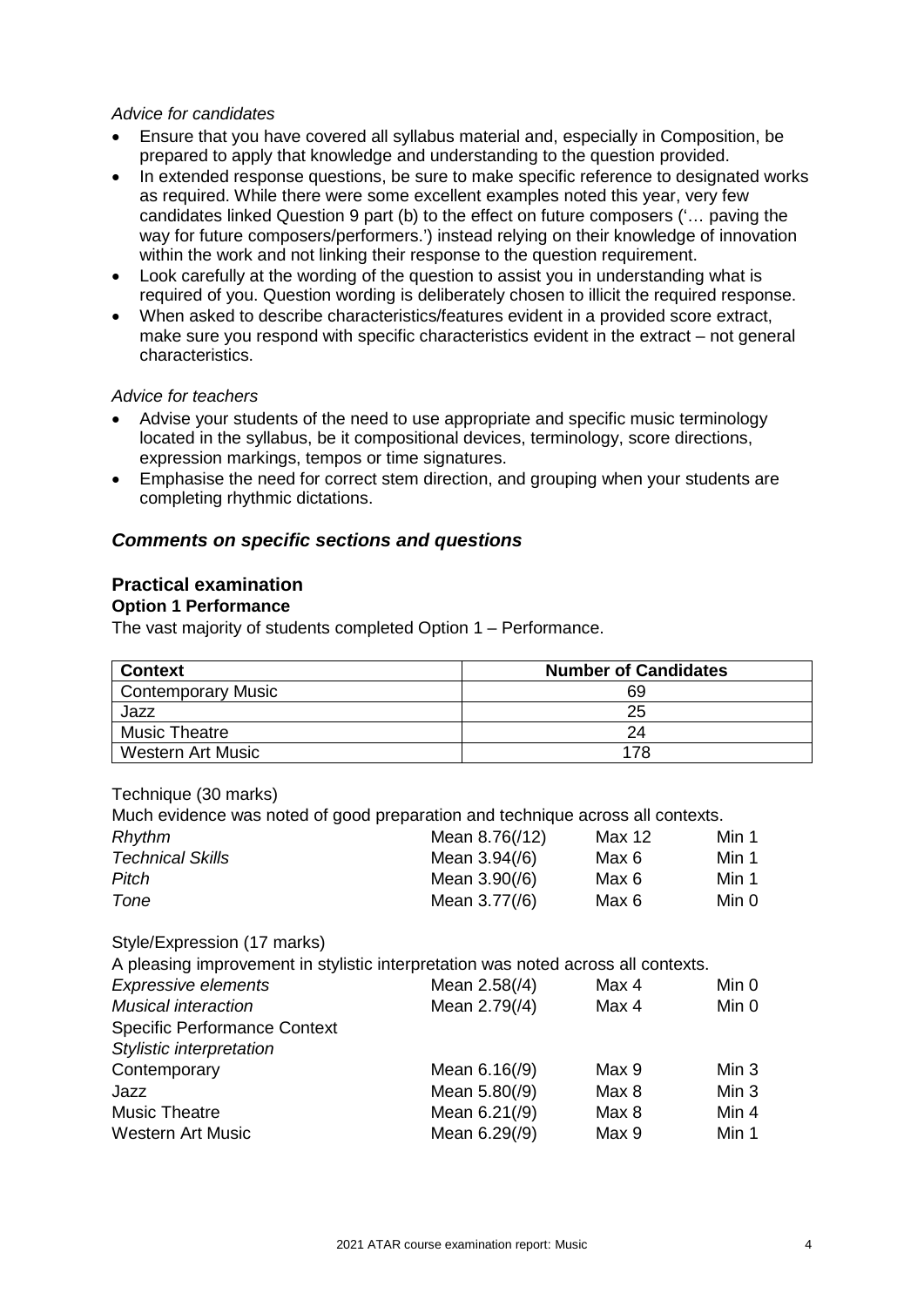#### *Advice for candidates*

- Ensure that you have covered all syllabus material and, especially in Composition, be prepared to apply that knowledge and understanding to the question provided.
- In extended response questions, be sure to make specific reference to designated works as required. While there were some excellent examples noted this year, very few candidates linked Question 9 part (b) to the effect on future composers ('… paving the way for future composers/performers.') instead relying on their knowledge of innovation within the work and not linking their response to the question requirement.
- Look carefully at the wording of the question to assist you in understanding what is required of you. Question wording is deliberately chosen to illicit the required response.
- When asked to describe characteristics/features evident in a provided score extract, make sure you respond with specific characteristics evident in the extract – not general characteristics.

#### *Advice for teachers*

- Advise your students of the need to use appropriate and specific music terminology located in the syllabus, be it compositional devices, terminology, score directions, expression markings, tempos or time signatures.
- Emphasise the need for correct stem direction, and grouping when your students are completing rhythmic dictations.

## *Comments on specific sections and questions*

# **Practical examination**

#### **Option 1 Performance**

The vast majority of students completed Option 1 – Performance.

| <b>Context</b>            | <b>Number of Candidates</b> |
|---------------------------|-----------------------------|
| <b>Contemporary Music</b> | 69                          |
| Jazz                      | 25                          |
| <b>Music Theatre</b>      | 24                          |
| <b>Western Art Music</b>  | 178                         |

#### Technique (30 marks)

Much evidence was noted of good preparation and technique across all contexts.

| Rhythm                           |  | Mean 8.76(/12)                     | Max 12         | Min 1          |
|----------------------------------|--|------------------------------------|----------------|----------------|
| <b>Technical Skills</b><br>Pitch |  | Mean $3.94/(6)$<br>Mean $3.90/(6)$ | Max 6<br>Max 6 | Min 1<br>Min 1 |
| Tone                             |  | Mean 3.77(/6)                      | Max 6          | Min 0          |

Style/Expression (17 marks)

A pleasing improvement in stylistic interpretation was noted across all contexts.

| <b>Expressive elements</b>          | Mean 2.58(/4)   | Max 4 | Min 0            |
|-------------------------------------|-----------------|-------|------------------|
| <b>Musical interaction</b>          | Mean 2.79(/4)   | Max 4 | Min 0            |
| <b>Specific Performance Context</b> |                 |       |                  |
| Stylistic interpretation            |                 |       |                  |
| Contemporary                        | Mean $6.16(79)$ | Max 9 | Min 3            |
| Jazz                                | Mean 5.80(/9)   | Max 8 | Min <sub>3</sub> |
| <b>Music Theatre</b>                | Mean 6.21(/9)   | Max 8 | Min 4            |
| <b>Western Art Music</b>            | Mean 6.29(/9)   | Max 9 | Min 1            |